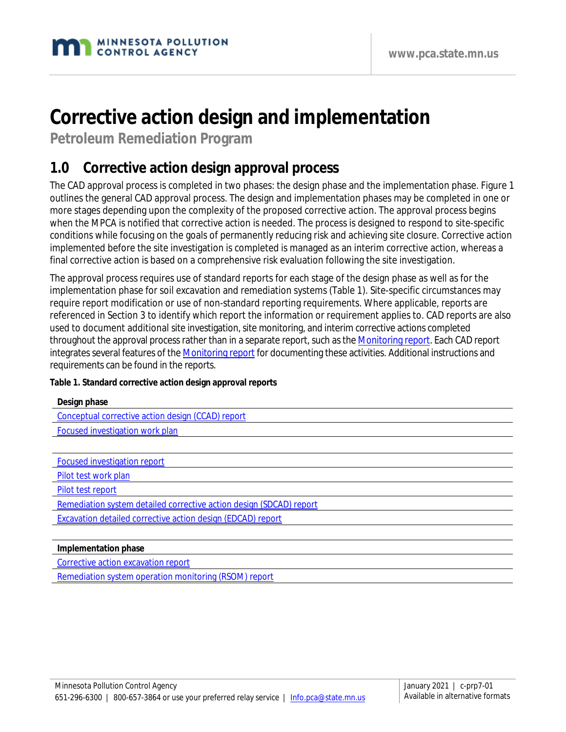# **Corrective action design and implementation**

**Petroleum Remediation Program**

## **1.0 Corrective action design approval process**

The CAD approval process is completed in two phases: the design phase and the implementation phase. Figure 1 outlines the general CAD approval process. The design and implementation phases may be completed in one or more stages depending upon the complexity of the proposed corrective action. The approval process begins when the MPCA is notified that corrective action is needed. The process is designed to respond to site-specific conditions while focusing on the goals of permanently reducing risk and achieving site closure. Corrective action implemented before the site investigation is completed is managed as an interim corrective action, whereas a final corrective action is based on a comprehensive risk evaluation following the site investigation.

The approval process requires use of standard reports for each stage of the design phase as well as for the implementation phase for soil excavation and remediation systems (Table 1). Site-specific circumstances may require report modification or use of non-standard reporting requirements. Where applicable, reports are referenced in Section 3 to identify which report the information or requirement applies to. CAD reports are also used to document additional site investigation, site monitoring, and interim corrective actions completed throughout the approval process rather than in a separate report, such as the [Monitoring report.](https://www.pca.state.mn.us/sites/default/files/c-prp4-08.doc) Each CAD report integrates several features of the [Monitoring report](https://www.pca.state.mn.us/sites/default/files/c-prp4-08.doc) for documenting these activities. Additional instructions and requirements can be found in the reports.

#### **Table 1. Standard corrective action design approval reports**

| Design phase                                      |
|---------------------------------------------------|
| Conceptual corrective action design (CCAD) report |
| Focused investigation work plan                   |
|                                                   |
| Focused investigation report                      |
| Pilot test work plan                              |

[Pilot test report](https://www.pca.state.mn.us/sites/default/files/c-prp7-06.dot)

- [Remediation system detailed corrective action design](https://www.pca.state.mn.us/sites/default/files/c-prp7-07a.dot) (SDCAD) report
- [Excavation detailed corrective action design](https://www.pca.state.mn.us/sites/default/files/c-prp7-07b.dot) (EDCAD) report

#### **Implementation phase**

[Corrective action excavation report](https://www.pca.state.mn.us/sites/default/files/c-prp3-02a.doc)

[Remediation system operation monitoring \(RSOM\) report](https://www.pca.state.mn.us/sites/default/files/c-prp7-08.dot)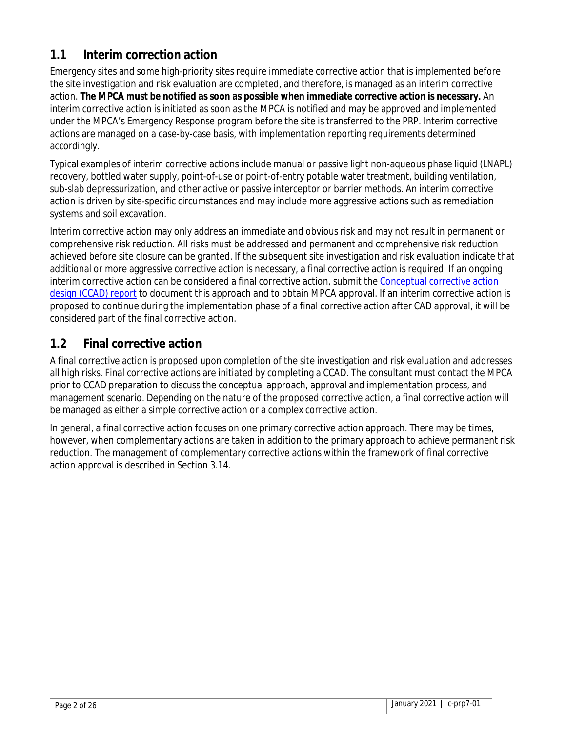### **1.1 Interim correction action**

Emergency sites and some high-priority sites require immediate corrective action that is implemented before the site investigation and risk evaluation are completed, and therefore, is managed as an interim corrective action. **The MPCA must be notified as soon as possible when immediate corrective action is necessary.** An interim corrective action is initiated as soon as the MPCA is notified and may be approved and implemented under the MPCA's Emergency Response program before the site is transferred to the PRP. Interim corrective actions are managed on a case-by-case basis, with implementation reporting requirements determined accordingly.

Typical examples of interim corrective actions include manual or passive light non-aqueous phase liquid (LNAPL) recovery, bottled water supply, point-of-use or point-of-entry potable water treatment, building ventilation, sub-slab depressurization, and other active or passive interceptor or barrier methods. An interim corrective action is driven by site-specific circumstances and may include more aggressive actions such as remediation systems and soil excavation.

Interim corrective action may only address an immediate and obvious risk and may not result in permanent or comprehensive risk reduction. All risks must be addressed and permanent and comprehensive risk reduction achieved before site closure can be granted. If the subsequent site investigation and risk evaluation indicate that additional or more aggressive corrective action is necessary, a final corrective action is required. If an ongoing interim corrective action can be considered a final corrective action, submit the [Conceptual corrective action](https://www.pca.state.mn.us/sites/default/files/c-prp7-02.dot)  [design \(CCAD\) report](https://www.pca.state.mn.us/sites/default/files/c-prp7-02.dot) to document this approach and to obtain MPCA approval. If an interim corrective action is proposed to continue during the implementation phase of a final corrective action after CAD approval, it will be considered part of the final corrective action.

### **1.2 Final corrective action**

A final corrective action is proposed upon completion of the site investigation and risk evaluation and addresses all high risks. Final corrective actions are initiated by completing a CCAD. The consultant must contact the MPCA prior to CCAD preparation to discuss the conceptual approach, approval and implementation process, and management scenario. Depending on the nature of the proposed corrective action, a final corrective action will be managed as either a simple corrective action or a complex corrective action.

In general, a final corrective action focuses on one primary corrective action approach. There may be times, however, when complementary actions are taken in addition to the primary approach to achieve permanent risk reduction. The management of complementary corrective actions within the framework of final corrective action approval is described in Section 3.14.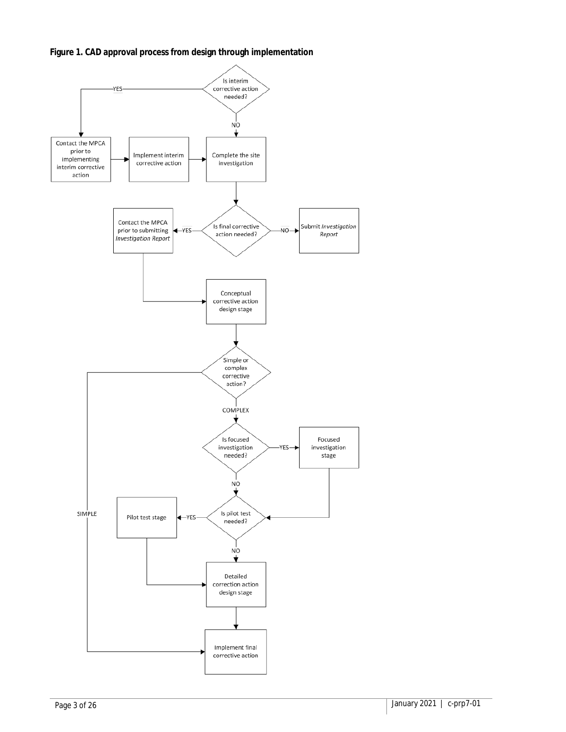**Figure 1. CAD approval process from design through implementation**

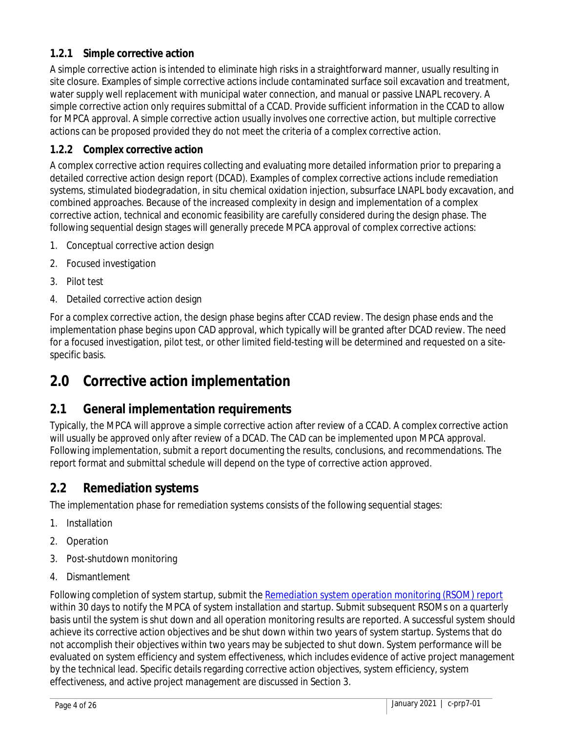#### **1.2.1 Simple corrective action**

A simple corrective action is intended to eliminate high risks in a straightforward manner, usually resulting in site closure. Examples of simple corrective actions include contaminated surface soil excavation and treatment, water supply well replacement with municipal water connection, and manual or passive LNAPL recovery. A simple corrective action only requires submittal of a CCAD. Provide sufficient information in the CCAD to allow for MPCA approval. A simple corrective action usually involves one corrective action, but multiple corrective actions can be proposed provided they do not meet the criteria of a complex corrective action.

#### **1.2.2 Complex corrective action**

A complex corrective action requires collecting and evaluating more detailed information prior to preparing a detailed corrective action design report (DCAD). Examples of complex corrective actions include remediation systems, stimulated biodegradation, in situ chemical oxidation injection, subsurface LNAPL body excavation, and combined approaches. Because of the increased complexity in design and implementation of a complex corrective action, technical and economic feasibility are carefully considered during the design phase. The following sequential design stages will generally precede MPCA approval of complex corrective actions:

- 1. Conceptual corrective action design
- 2. Focused investigation
- 3. Pilot test
- 4. Detailed corrective action design

For a complex corrective action, the design phase begins after CCAD review. The design phase ends and the implementation phase begins upon CAD approval, which typically will be granted after DCAD review. The need for a focused investigation, pilot test, or other limited field-testing will be determined and requested on a sitespecific basis.

## **2.0 Corrective action implementation**

#### **2.1 General implementation requirements**

Typically, the MPCA will approve a simple corrective action after review of a CCAD. A complex corrective action will usually be approved only after review of a DCAD. The CAD can be implemented upon MPCA approval. Following implementation, submit a report documenting the results, conclusions, and recommendations. The report format and submittal schedule will depend on the type of corrective action approved.

#### **2.2 Remediation systems**

The implementation phase for remediation systems consists of the following sequential stages:

- 1. Installation
- 2. Operation
- 3. Post-shutdown monitoring
- 4. Dismantlement

Following completion of system startup, submit the [Remediation system operation monitoring \(RSOM\) report](https://www.pca.state.mn.us/sites/default/files/c-prp7-08.dot) within 30 days to notify the MPCA of system installation and startup. Submit subsequent RSOMs on a quarterly basis until the system is shut down and all operation monitoring results are reported. A successful system should achieve its corrective action objectives and be shut down within two years of system startup. Systems that do not accomplish their objectives within two years may be subjected to shut down. System performance will be evaluated on system efficiency and system effectiveness, which includes evidence of active project management by the technical lead. Specific details regarding corrective action objectives, system efficiency, system effectiveness, and active project management are discussed in Section 3.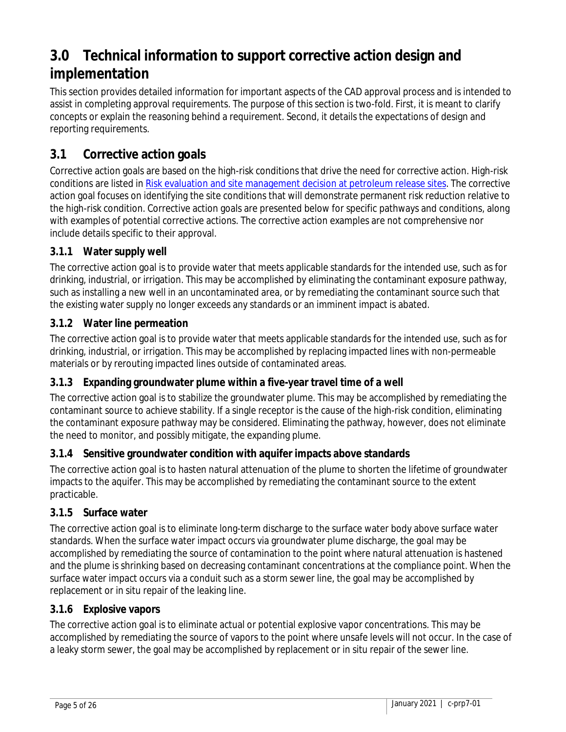## **3.0 Technical information to support corrective action design and implementation**

This section provides detailed information for important aspects of the CAD approval process and is intended to assist in completing approval requirements. The purpose of this section is two-fold. First, it is meant to clarify concepts or explain the reasoning behind a requirement. Second, it details the expectations of design and reporting requirements.

### **3.1 Corrective action goals**

Corrective action goals are based on the high-risk conditions that drive the need for corrective action. High-risk conditions are listed i[n Risk evaluation and site management decision at petroleum release sites.](https://www.pca.state.mn.us/sites/default/files/c-prp4-02.pdf) The corrective action goal focuses on identifying the site conditions that will demonstrate permanent risk reduction relative to the high-risk condition. Corrective action goals are presented below for specific pathways and conditions, along with examples of potential corrective actions. The corrective action examples are not comprehensive nor include details specific to their approval.

#### **3.1.1 Water supply well**

The corrective action goal is to provide water that meets applicable standards for the intended use, such as for drinking, industrial, or irrigation. This may be accomplished by eliminating the contaminant exposure pathway, such as installing a new well in an uncontaminated area, or by remediating the contaminant source such that the existing water supply no longer exceeds any standards or an imminent impact is abated.

#### **3.1.2 Water line permeation**

The corrective action goal is to provide water that meets applicable standards for the intended use, such as for drinking, industrial, or irrigation. This may be accomplished by replacing impacted lines with non-permeable materials or by rerouting impacted lines outside of contaminated areas.

#### **3.1.3 Expanding groundwater plume within a five-year travel time of a well**

The corrective action goal is to stabilize the groundwater plume. This may be accomplished by remediating the contaminant source to achieve stability. If a single receptor is the cause of the high-risk condition, eliminating the contaminant exposure pathway may be considered. Eliminating the pathway, however, does not eliminate the need to monitor, and possibly mitigate, the expanding plume.

#### **3.1.4 Sensitive groundwater condition with aquifer impacts above standards**

The corrective action goal is to hasten natural attenuation of the plume to shorten the lifetime of groundwater impacts to the aquifer. This may be accomplished by remediating the contaminant source to the extent practicable.

#### **3.1.5 Surface water**

The corrective action goal is to eliminate long-term discharge to the surface water body above surface water standards. When the surface water impact occurs via groundwater plume discharge, the goal may be accomplished by remediating the source of contamination to the point where natural attenuation is hastened and the plume is shrinking based on decreasing contaminant concentrations at the compliance point. When the surface water impact occurs via a conduit such as a storm sewer line, the goal may be accomplished by replacement or in situ repair of the leaking line.

#### **3.1.6 Explosive vapors**

The corrective action goal is to eliminate actual or potential explosive vapor concentrations. This may be accomplished by remediating the source of vapors to the point where unsafe levels will not occur. In the case of a leaky storm sewer, the goal may be accomplished by replacement or in situ repair of the sewer line.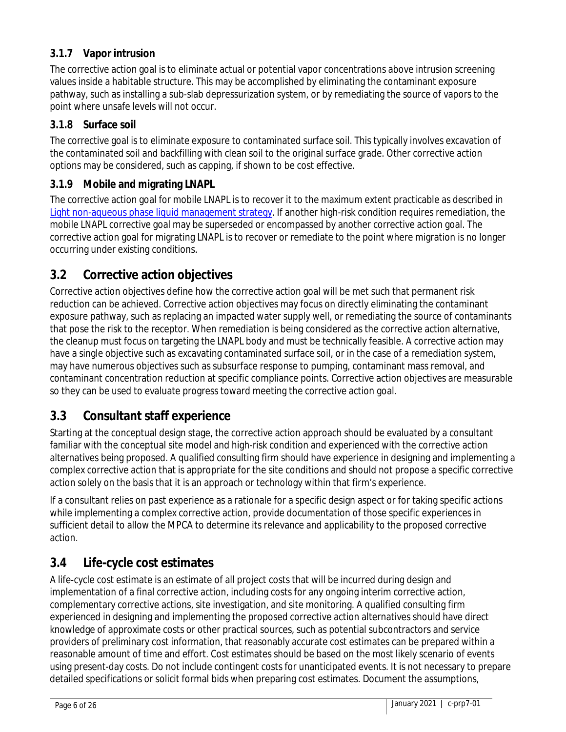#### **3.1.7 Vapor intrusion**

The corrective action goal is to eliminate actual or potential vapor concentrations above intrusion screening values inside a habitable structure. This may be accomplished by eliminating the contaminant exposure pathway, such as installing a sub-slab depressurization system, or by remediating the source of vapors to the point where unsafe levels will not occur.

#### **3.1.8 Surface soil**

The corrective goal is to eliminate exposure to contaminated surface soil. This typically involves excavation of the contaminated soil and backfilling with clean soil to the original surface grade. Other corrective action options may be considered, such as capping, if shown to be cost effective.

#### **3.1.9 Mobile and migrating LNAPL**

The corrective action goal for mobile LNAPL is to recover it to the maximum extent practicable as described in [Light non-aqueous phase liquid management strategy.](https://www.pca.state.mn.us/sites/default/files/c-prp2-02.pdf) If another high-risk condition requires remediation, the mobile LNAPL corrective goal may be superseded or encompassed by another corrective action goal. The corrective action goal for migrating LNAPL is to recover or remediate to the point where migration is no longer occurring under existing conditions.

#### **3.2 Corrective action objectives**

Corrective action objectives define how the corrective action goal will be met such that permanent risk reduction can be achieved. Corrective action objectives may focus on directly eliminating the contaminant exposure pathway, such as replacing an impacted water supply well, or remediating the source of contaminants that pose the risk to the receptor. When remediation is being considered as the corrective action alternative, the cleanup must focus on targeting the LNAPL body and must be technically feasible. A corrective action may have a single objective such as excavating contaminated surface soil, or in the case of a remediation system, may have numerous objectives such as subsurface response to pumping, contaminant mass removal, and contaminant concentration reduction at specific compliance points. Corrective action objectives are measurable so they can be used to evaluate progress toward meeting the corrective action goal.

### **3.3 Consultant staff experience**

Starting at the conceptual design stage, the corrective action approach should be evaluated by a consultant familiar with the conceptual site model and high-risk condition and experienced with the corrective action alternatives being proposed. A qualified consulting firm should have experience in designing and implementing a complex corrective action that is appropriate for the site conditions and should not propose a specific corrective action solely on the basis that it is an approach or technology within that firm's experience.

If a consultant relies on past experience as a rationale for a specific design aspect or for taking specific actions while implementing a complex corrective action, provide documentation of those specific experiences in sufficient detail to allow the MPCA to determine its relevance and applicability to the proposed corrective action.

### **3.4 Life-cycle cost estimates**

A life-cycle cost estimate is an estimate of all project costs that will be incurred during design and implementation of a final corrective action, including costs for any ongoing interim corrective action, complementary corrective actions, site investigation, and site monitoring. A qualified consulting firm experienced in designing and implementing the proposed corrective action alternatives should have direct knowledge of approximate costs or other practical sources, such as potential subcontractors and service providers of preliminary cost information, that reasonably accurate cost estimates can be prepared within a reasonable amount of time and effort. Cost estimates should be based on the most likely scenario of events using present-day costs. Do not include contingent costs for unanticipated events. It is not necessary to prepare detailed specifications or solicit formal bids when preparing cost estimates. Document the assumptions,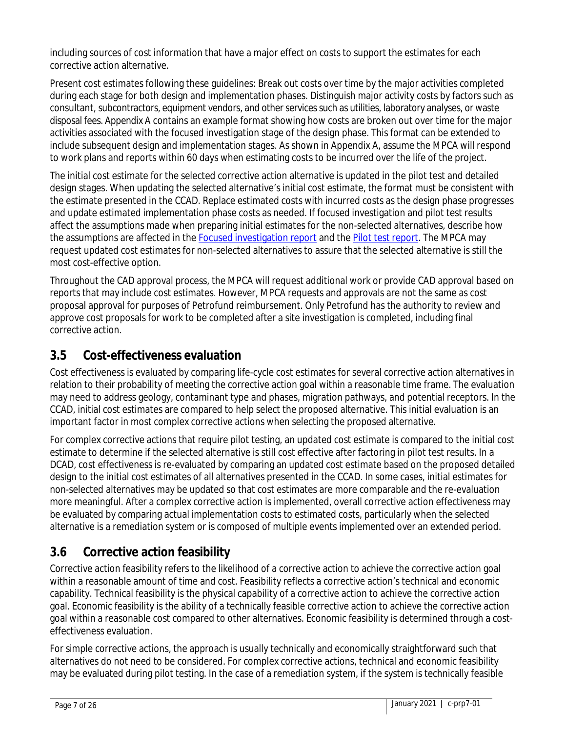including sources of cost information that have a major effect on costs to support the estimates for each corrective action alternative.

Present cost estimates following these guidelines: Break out costs over time by the major activities completed during each stage for both design and implementation phases. Distinguish major activity costs by factors such as consultant, subcontractors, equipment vendors, and other services such as utilities, laboratory analyses, or waste disposal fees. Appendix A contains an example format showing how costs are broken out over time for the major activities associated with the focused investigation stage of the design phase. This format can be extended to include subsequent design and implementation stages. As shown in Appendix A, assume the MPCA will respond to work plans and reports within 60 days when estimating costs to be incurred over the life of the project.

The initial cost estimate for the selected corrective action alternative is updated in the pilot test and detailed design stages. When updating the selected alternative's initial cost estimate, the format must be consistent with the estimate presented in the CCAD. Replace estimated costs with incurred costs as the design phase progresses and update estimated implementation phase costs as needed. If focused investigation and pilot test results affect the assumptions made when preparing initial estimates for the non-selected alternatives, describe how the assumptions are affected in the [Focused investigation report](https://www.pca.state.mn.us/sites/default/files/c-prp7-04.dot) and the [Pilot test report.](https://www.pca.state.mn.us/sites/default/files/c-prp7-06.dot) The MPCA may request updated cost estimates for non-selected alternatives to assure that the selected alternative is still the most cost-effective option.

Throughout the CAD approval process, the MPCA will request additional work or provide CAD approval based on reports that may include cost estimates. However, MPCA requests and approvals are not the same as cost proposal approval for purposes of Petrofund reimbursement. Only Petrofund has the authority to review and approve cost proposals for work to be completed after a site investigation is completed, including final corrective action.

### **3.5 Cost-effectiveness evaluation**

Cost effectiveness is evaluated by comparing life-cycle cost estimates for several corrective action alternatives in relation to their probability of meeting the corrective action goal within a reasonable time frame. The evaluation may need to address geology, contaminant type and phases, migration pathways, and potential receptors. In the CCAD, initial cost estimates are compared to help select the proposed alternative. This initial evaluation is an important factor in most complex corrective actions when selecting the proposed alternative.

For complex corrective actions that require pilot testing, an updated cost estimate is compared to the initial cost estimate to determine if the selected alternative is still cost effective after factoring in pilot test results. In a DCAD, cost effectiveness is re-evaluated by comparing an updated cost estimate based on the proposed detailed design to the initial cost estimates of all alternatives presented in the CCAD. In some cases, initial estimates for non-selected alternatives may be updated so that cost estimates are more comparable and the re-evaluation more meaningful. After a complex corrective action is implemented, overall corrective action effectiveness may be evaluated by comparing actual implementation costs to estimated costs, particularly when the selected alternative is a remediation system or is composed of multiple events implemented over an extended period.

### **3.6 Corrective action feasibility**

Corrective action feasibility refers to the likelihood of a corrective action to achieve the corrective action goal within a reasonable amount of time and cost. Feasibility reflects a corrective action's technical and economic capability. Technical feasibility is the physical capability of a corrective action to achieve the corrective action goal. Economic feasibility is the ability of a technically feasible corrective action to achieve the corrective action goal within a reasonable cost compared to other alternatives. Economic feasibility is determined through a costeffectiveness evaluation.

For simple corrective actions, the approach is usually technically and economically straightforward such that alternatives do not need to be considered. For complex corrective actions, technical and economic feasibility may be evaluated during pilot testing. In the case of a remediation system, if the system is technically feasible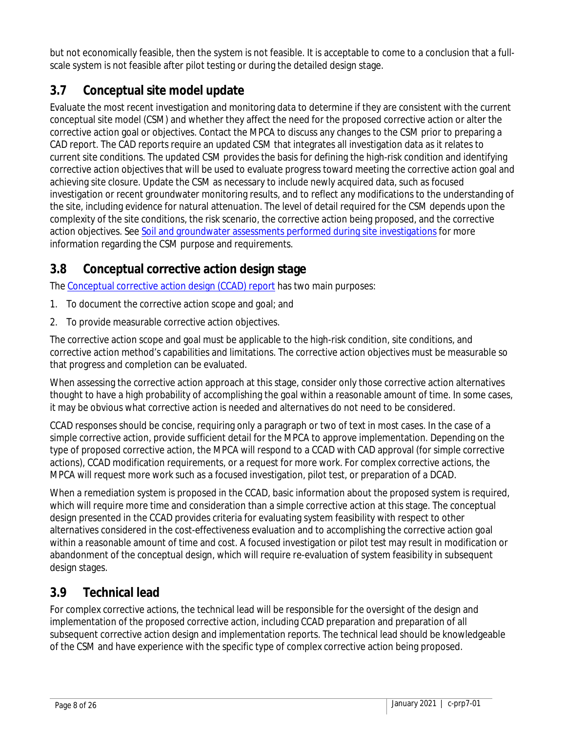but not economically feasible, then the system is not feasible. It is acceptable to come to a conclusion that a fullscale system is not feasible after pilot testing or during the detailed design stage.

### **3.7 Conceptual site model update**

Evaluate the most recent investigation and monitoring data to determine if they are consistent with the current conceptual site model (CSM) and whether they affect the need for the proposed corrective action or alter the corrective action goal or objectives. Contact the MPCA to discuss any changes to the CSM prior to preparing a CAD report. The CAD reports require an updated CSM that integrates all investigation data as it relates to current site conditions. The updated CSM provides the basis for defining the high-risk condition and identifying corrective action objectives that will be used to evaluate progress toward meeting the corrective action goal and achieving site closure. Update the CSM as necessary to include newly acquired data, such as focused investigation or recent groundwater monitoring results, and to reflect any modifications to the understanding of the site, including evidence for natural attenuation. The level of detail required for the CSM depends upon the complexity of the site conditions, the risk scenario, the corrective action being proposed, and the corrective action objectives. See Soil and groundwater assessments [performed during site investigations](https://www.pca.state.mn.us/sites/default/files/c-prp4-01.pdf) for more information regarding the CSM purpose and requirements.

### **3.8 Conceptual corrective action design stage**

The [Conceptual corrective action design \(CCAD\) report](https://www.pca.state.mn.us/sites/default/files/c-prp7-02.dot) has two main purposes:

- 1. To document the corrective action scope and goal; and
- 2. To provide measurable corrective action objectives.

The corrective action scope and goal must be applicable to the high-risk condition, site conditions, and corrective action method's capabilities and limitations. The corrective action objectives must be measurable so that progress and completion can be evaluated.

When assessing the corrective action approach at this stage, consider only those corrective action alternatives thought to have a high probability of accomplishing the goal within a reasonable amount of time. In some cases, it may be obvious what corrective action is needed and alternatives do not need to be considered.

CCAD responses should be concise, requiring only a paragraph or two of text in most cases. In the case of a simple corrective action, provide sufficient detail for the MPCA to approve implementation. Depending on the type of proposed corrective action, the MPCA will respond to a CCAD with CAD approval (for simple corrective actions), CCAD modification requirements, or a request for more work. For complex corrective actions, the MPCA will request more work such as a focused investigation, pilot test, or preparation of a DCAD.

When a remediation system is proposed in the CCAD, basic information about the proposed system is required, which will require more time and consideration than a simple corrective action at this stage. The conceptual design presented in the CCAD provides criteria for evaluating system feasibility with respect to other alternatives considered in the cost-effectiveness evaluation and to accomplishing the corrective action goal within a reasonable amount of time and cost. A focused investigation or pilot test may result in modification or abandonment of the conceptual design, which will require re-evaluation of system feasibility in subsequent design stages.

### **3.9 Technical lead**

For complex corrective actions, the technical lead will be responsible for the oversight of the design and implementation of the proposed corrective action, including CCAD preparation and preparation of all subsequent corrective action design and implementation reports. The technical lead should be knowledgeable of the CSM and have experience with the specific type of complex corrective action being proposed.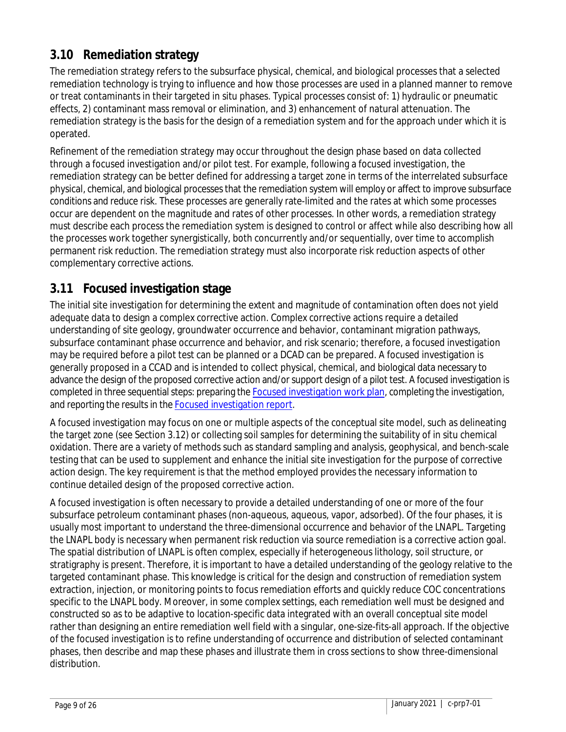### **3.10 Remediation strategy**

The remediation strategy refers to the subsurface physical, chemical, and biological processes that a selected remediation technology is trying to influence and how those processes are used in a planned manner to remove or treat contaminants in their targeted in situ phases. Typical processes consist of: 1) hydraulic or pneumatic effects, 2) contaminant mass removal or elimination, and 3) enhancement of natural attenuation. The remediation strategy is the basis for the design of a remediation system and for the approach under which it is operated.

Refinement of the remediation strategy may occur throughout the design phase based on data collected through a focused investigation and/or pilot test. For example, following a focused investigation, the remediation strategy can be better defined for addressing a target zone in terms of the interrelated subsurface physical, chemical, and biological processes that the remediation system will employ or affect to improve subsurface conditions and reduce risk. These processes are generally rate-limited and the rates at which some processes occur are dependent on the magnitude and rates of other processes. In other words, a remediation strategy must describe each process the remediation system is designed to control or affect while also describing how all the processes work together synergistically, both concurrently and/or sequentially, over time to accomplish permanent risk reduction. The remediation strategy must also incorporate risk reduction aspects of other complementary corrective actions.

### **3.11 Focused investigation stage**

The initial site investigation for determining the extent and magnitude of contamination often does not yield adequate data to design a complex corrective action. Complex corrective actions require a detailed understanding of site geology, groundwater occurrence and behavior, contaminant migration pathways, subsurface contaminant phase occurrence and behavior, and risk scenario; therefore, a focused investigation may be required before a pilot test can be planned or a DCAD can be prepared. A focused investigation is generally proposed in a CCAD and is intended to collect physical, chemical, and biological data necessary to advance the design of the proposed corrective action and/or support design of a pilot test. A focused investigation is completed in three sequential steps: preparing th[e Focused investigation work plan,](https://www.pca.state.mn.us/sites/default/files/c-prp7-03.dot) completing the investigation, and reporting the results in th[e Focused investigation report.](https://www.pca.state.mn.us/sites/default/files/c-prp7-04.dot)

A focused investigation may focus on one or multiple aspects of the conceptual site model, such as delineating the target zone (see Section 3.12) or collecting soil samples for determining the suitability of in situ chemical oxidation. There are a variety of methods such as standard sampling and analysis, geophysical, and bench-scale testing that can be used to supplement and enhance the initial site investigation for the purpose of corrective action design. The key requirement is that the method employed provides the necessary information to continue detailed design of the proposed corrective action.

A focused investigation is often necessary to provide a detailed understanding of one or more of the four subsurface petroleum contaminant phases (non-aqueous, aqueous, vapor, adsorbed). Of the four phases, it is usually most important to understand the three-dimensional occurrence and behavior of the LNAPL. Targeting the LNAPL body is necessary when permanent risk reduction via source remediation is a corrective action goal. The spatial distribution of LNAPL is often complex, especially if heterogeneous lithology, soil structure, or stratigraphy is present. Therefore, it is important to have a detailed understanding of the geology relative to the targeted contaminant phase. This knowledge is critical for the design and construction of remediation system extraction, injection, or monitoring points to focus remediation efforts and quickly reduce COC concentrations specific to the LNAPL body. Moreover, in some complex settings, each remediation well must be designed and constructed so as to be adaptive to location-specific data integrated with an overall conceptual site model rather than designing an entire remediation well field with a singular, one-size-fits-all approach. If the objective of the focused investigation is to refine understanding of occurrence and distribution of selected contaminant phases, then describe and map these phases and illustrate them in cross sections to show three-dimensional distribution.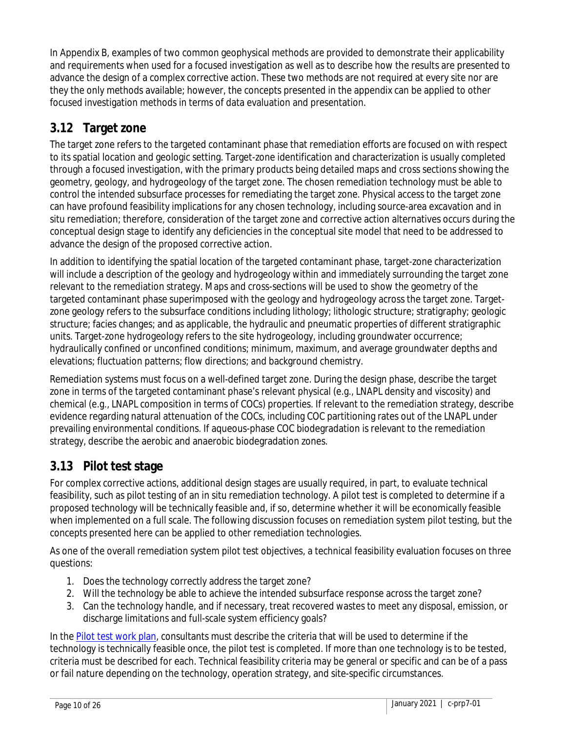In Appendix B, examples of two common geophysical methods are provided to demonstrate their applicability and requirements when used for a focused investigation as well as to describe how the results are presented to advance the design of a complex corrective action. These two methods are not required at every site nor are they the only methods available; however, the concepts presented in the appendix can be applied to other focused investigation methods in terms of data evaluation and presentation.

### **3.12 Target zone**

The target zone refers to the targeted contaminant phase that remediation efforts are focused on with respect to its spatial location and geologic setting. Target-zone identification and characterization is usually completed through a focused investigation, with the primary products being detailed maps and cross sections showing the geometry, geology, and hydrogeology of the target zone. The chosen remediation technology must be able to control the intended subsurface processes for remediating the target zone. Physical access to the target zone can have profound feasibility implications for any chosen technology, including source-area excavation and in situ remediation; therefore, consideration of the target zone and corrective action alternatives occurs during the conceptual design stage to identify any deficiencies in the conceptual site model that need to be addressed to advance the design of the proposed corrective action.

In addition to identifying the spatial location of the targeted contaminant phase, target-zone characterization will include a description of the geology and hydrogeology within and immediately surrounding the target zone relevant to the remediation strategy. Maps and cross-sections will be used to show the geometry of the targeted contaminant phase superimposed with the geology and hydrogeology across the target zone. Targetzone geology refers to the subsurface conditions including lithology; lithologic structure; stratigraphy; geologic structure; facies changes; and as applicable, the hydraulic and pneumatic properties of different stratigraphic units. Target-zone hydrogeology refers to the site hydrogeology, including groundwater occurrence; hydraulically confined or unconfined conditions; minimum, maximum, and average groundwater depths and elevations; fluctuation patterns; flow directions; and background chemistry.

Remediation systems must focus on a well-defined target zone. During the design phase, describe the target zone in terms of the targeted contaminant phase's relevant physical (e.g., LNAPL density and viscosity) and chemical (e.g., LNAPL composition in terms of COCs) properties. If relevant to the remediation strategy, describe evidence regarding natural attenuation of the COCs, including COC partitioning rates out of the LNAPL under prevailing environmental conditions. If aqueous-phase COC biodegradation is relevant to the remediation strategy, describe the aerobic and anaerobic biodegradation zones.

### **3.13 Pilot test stage**

For complex corrective actions, additional design stages are usually required, in part, to evaluate technical feasibility, such as pilot testing of an in situ remediation technology. A pilot test is completed to determine if a proposed technology will be technically feasible and, if so, determine whether it will be economically feasible when implemented on a full scale. The following discussion focuses on remediation system pilot testing, but the concepts presented here can be applied to other remediation technologies.

As one of the overall remediation system pilot test objectives, a technical feasibility evaluation focuses on three questions:

- 1. Does the technology correctly address the target zone?
- 2. Will the technology be able to achieve the intended subsurface response across the target zone?
- 3. Can the technology handle, and if necessary, treat recovered wastes to meet any disposal, emission, or discharge limitations and full-scale system efficiency goals?

In the [Pilot test work plan,](https://www.pca.state.mn.us/sites/default/files/c-prp7-05.dot) consultants must describe the criteria that will be used to determine if the technology is technically feasible once, the pilot test is completed. If more than one technology is to be tested, criteria must be described for each. Technical feasibility criteria may be general or specific and can be of a pass or fail nature depending on the technology, operation strategy, and site-specific circumstances.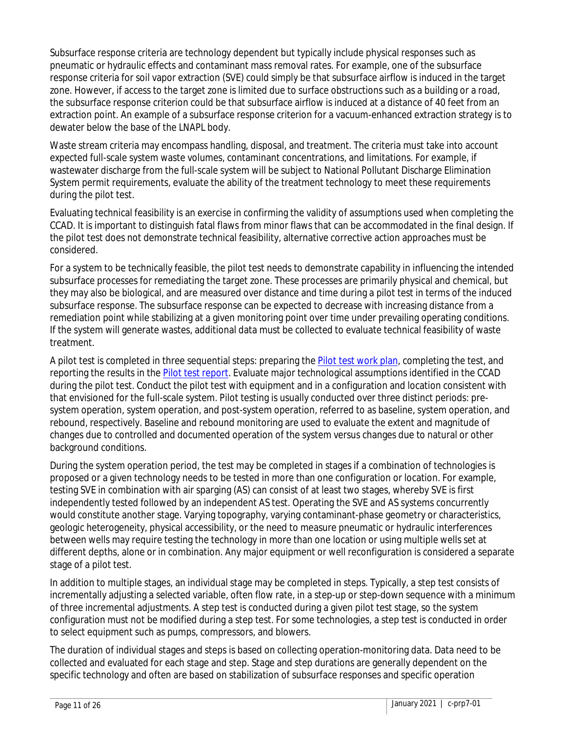Subsurface response criteria are technology dependent but typically include physical responses such as pneumatic or hydraulic effects and contaminant mass removal rates. For example, one of the subsurface response criteria for soil vapor extraction (SVE) could simply be that subsurface airflow is induced in the target zone. However, if access to the target zone is limited due to surface obstructions such as a building or a road, the subsurface response criterion could be that subsurface airflow is induced at a distance of 40 feet from an extraction point. An example of a subsurface response criterion for a vacuum-enhanced extraction strategy is to dewater below the base of the LNAPL body.

Waste stream criteria may encompass handling, disposal, and treatment. The criteria must take into account expected full-scale system waste volumes, contaminant concentrations, and limitations. For example, if wastewater discharge from the full-scale system will be subject to National Pollutant Discharge Elimination System permit requirements, evaluate the ability of the treatment technology to meet these requirements during the pilot test.

Evaluating technical feasibility is an exercise in confirming the validity of assumptions used when completing the CCAD. It is important to distinguish fatal flaws from minor flaws that can be accommodated in the final design. If the pilot test does not demonstrate technical feasibility, alternative corrective action approaches must be considered.

For a system to be technically feasible, the pilot test needs to demonstrate capability in influencing the intended subsurface processes for remediating the target zone. These processes are primarily physical and chemical, but they may also be biological, and are measured over distance and time during a pilot test in terms of the induced subsurface response. The subsurface response can be expected to decrease with increasing distance from a remediation point while stabilizing at a given monitoring point over time under prevailing operating conditions. If the system will generate wastes, additional data must be collected to evaluate technical feasibility of waste treatment.

A pilot test is completed in three sequential steps: preparing the [Pilot test work plan,](https://www.pca.state.mn.us/sites/default/files/c-prp7-05.dot) completing the test, and reporting the results in the [Pilot test report.](https://www.pca.state.mn.us/sites/default/files/c-prp7-06.dot) Evaluate major technological assumptions identified in the CCAD during the pilot test. Conduct the pilot test with equipment and in a configuration and location consistent with that envisioned for the full-scale system. Pilot testing is usually conducted over three distinct periods: presystem operation, system operation, and post-system operation, referred to as baseline, system operation, and rebound, respectively. Baseline and rebound monitoring are used to evaluate the extent and magnitude of changes due to controlled and documented operation of the system versus changes due to natural or other background conditions.

During the system operation period, the test may be completed in stages if a combination of technologies is proposed or a given technology needs to be tested in more than one configuration or location. For example, testing SVE in combination with air sparging (AS) can consist of at least two stages, whereby SVE is first independently tested followed by an independent AS test. Operating the SVE and AS systems concurrently would constitute another stage. Varying topography, varying contaminant-phase geometry or characteristics, geologic heterogeneity, physical accessibility, or the need to measure pneumatic or hydraulic interferences between wells may require testing the technology in more than one location or using multiple wells set at different depths, alone or in combination. Any major equipment or well reconfiguration is considered a separate stage of a pilot test.

In addition to multiple stages, an individual stage may be completed in steps. Typically, a step test consists of incrementally adjusting a selected variable, often flow rate, in a step-up or step-down sequence with a minimum of three incremental adjustments. A step test is conducted during a given pilot test stage, so the system configuration must not be modified during a step test. For some technologies, a step test is conducted in order to select equipment such as pumps, compressors, and blowers.

The duration of individual stages and steps is based on collecting operation-monitoring data. Data need to be collected and evaluated for each stage and step. Stage and step durations are generally dependent on the specific technology and often are based on stabilization of subsurface responses and specific operation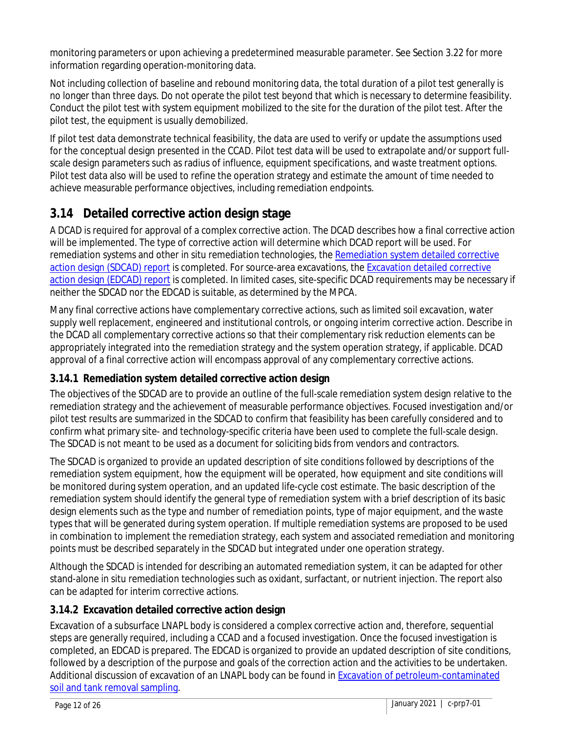monitoring parameters or upon achieving a predetermined measurable parameter. See Section 3.22 for more information regarding operation-monitoring data.

Not including collection of baseline and rebound monitoring data, the total duration of a pilot test generally is no longer than three days. Do not operate the pilot test beyond that which is necessary to determine feasibility. Conduct the pilot test with system equipment mobilized to the site for the duration of the pilot test. After the pilot test, the equipment is usually demobilized.

If pilot test data demonstrate technical feasibility, the data are used to verify or update the assumptions used for the conceptual design presented in the CCAD. Pilot test data will be used to extrapolate and/or support fullscale design parameters such as radius of influence, equipment specifications, and waste treatment options. Pilot test data also will be used to refine the operation strategy and estimate the amount of time needed to achieve measurable performance objectives, including remediation endpoints.

### **3.14 Detailed corrective action design stage**

A DCAD is required for approval of a complex corrective action. The DCAD describes how a final corrective action will be implemented. The type of corrective action will determine which DCAD report will be used. For remediation systems and other in situ remediation technologies, th[e Remediation system detailed corrective](https://www.pca.state.mn.us/sites/default/files/c-prp7-07a.dot)  action design [\(SDCAD\) report](https://www.pca.state.mn.us/sites/default/files/c-prp7-07a.dot) is completed. For source-area excavations, the [Excavation detailed corrective](https://www.pca.state.mn.us/sites/default/files/c-prp7-07b.dot)  action design [\(EDCAD\) report](https://www.pca.state.mn.us/sites/default/files/c-prp7-07b.dot) is completed. In limited cases, site-specific DCAD requirements may be necessary if neither the SDCAD nor the EDCAD is suitable, as determined by the MPCA.

Many final corrective actions have complementary corrective actions, such as limited soil excavation, water supply well replacement, engineered and institutional controls, or ongoing interim corrective action. Describe in the DCAD all complementary corrective actions so that their complementary risk reduction elements can be appropriately integrated into the remediation strategy and the system operation strategy, if applicable. DCAD approval of a final corrective action will encompass approval of any complementary corrective actions.

#### **3.14.1 Remediation system detailed corrective action design**

The objectives of the SDCAD are to provide an outline of the full-scale remediation system design relative to the remediation strategy and the achievement of measurable performance objectives. Focused investigation and/or pilot test results are summarized in the SDCAD to confirm that feasibility has been carefully considered and to confirm what primary site- and technology-specific criteria have been used to complete the full-scale design. The SDCAD is not meant to be used as a document for soliciting bids from vendors and contractors.

The SDCAD is organized to provide an updated description of site conditions followed by descriptions of the remediation system equipment, how the equipment will be operated, how equipment and site conditions will be monitored during system operation, and an updated life-cycle cost estimate. The basic description of the remediation system should identify the general type of remediation system with a brief description of its basic design elements such as the type and number of remediation points, type of major equipment, and the waste types that will be generated during system operation. If multiple remediation systems are proposed to be used in combination to implement the remediation strategy, each system and associated remediation and monitoring points must be described separately in the SDCAD but integrated under one operation strategy.

Although the SDCAD is intended for describing an automated remediation system, it can be adapted for other stand-alone in situ remediation technologies such as oxidant, surfactant, or nutrient injection. The report also can be adapted for interim corrective actions.

#### **3.14.2 Excavation detailed corrective action design**

Excavation of a subsurface LNAPL body is considered a complex corrective action and, therefore, sequential steps are generally required, including a CCAD and a focused investigation. Once the focused investigation is completed, an EDCAD is prepared. The EDCAD is organized to provide an updated description of site conditions, followed by a description of the purpose and goals of the correction action and the activities to be undertaken. Additional discussion of excavation of an LNAPL body can be found in Excavation of petroleum-contaminated [soil and tank removal sampling.](https://www.pca.state.mn.us/sites/default/files/c-prp3-01.pdf)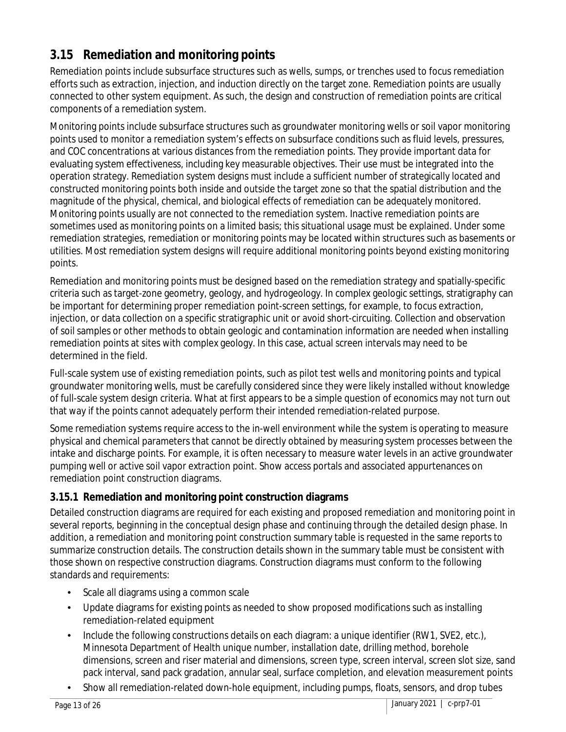### **3.15 Remediation and monitoring points**

Remediation points include subsurface structures such as wells, sumps, or trenches used to focus remediation efforts such as extraction, injection, and induction directly on the target zone. Remediation points are usually connected to other system equipment. As such, the design and construction of remediation points are critical components of a remediation system.

Monitoring points include subsurface structures such as groundwater monitoring wells or soil vapor monitoring points used to monitor a remediation system's effects on subsurface conditions such as fluid levels, pressures, and COC concentrations at various distances from the remediation points. They provide important data for evaluating system effectiveness, including key measurable objectives. Their use must be integrated into the operation strategy. Remediation system designs must include a sufficient number of strategically located and constructed monitoring points both inside and outside the target zone so that the spatial distribution and the magnitude of the physical, chemical, and biological effects of remediation can be adequately monitored. Monitoring points usually are not connected to the remediation system. Inactive remediation points are sometimes used as monitoring points on a limited basis; this situational usage must be explained. Under some remediation strategies, remediation or monitoring points may be located within structures such as basements or utilities. Most remediation system designs will require additional monitoring points beyond existing monitoring points.

Remediation and monitoring points must be designed based on the remediation strategy and spatially-specific criteria such as target-zone geometry, geology, and hydrogeology. In complex geologic settings, stratigraphy can be important for determining proper remediation point-screen settings, for example, to focus extraction, injection, or data collection on a specific stratigraphic unit or avoid short-circuiting. Collection and observation of soil samples or other methods to obtain geologic and contamination information are needed when installing remediation points at sites with complex geology. In this case, actual screen intervals may need to be determined in the field.

Full-scale system use of existing remediation points, such as pilot test wells and monitoring points and typical groundwater monitoring wells, must be carefully considered since they were likely installed without knowledge of full-scale system design criteria. What at first appears to be a simple question of economics may not turn out that way if the points cannot adequately perform their intended remediation-related purpose.

Some remediation systems require access to the in-well environment while the system is operating to measure physical and chemical parameters that cannot be directly obtained by measuring system processes between the intake and discharge points. For example, it is often necessary to measure water levels in an active groundwater pumping well or active soil vapor extraction point. Show access portals and associated appurtenances on remediation point construction diagrams.

#### **3.15.1 Remediation and monitoring point construction diagrams**

Detailed construction diagrams are required for each existing and proposed remediation and monitoring point in several reports, beginning in the conceptual design phase and continuing through the detailed design phase. In addition, a remediation and monitoring point construction summary table is requested in the same reports to summarize construction details. The construction details shown in the summary table must be consistent with those shown on respective construction diagrams. Construction diagrams must conform to the following standards and requirements:

- Scale all diagrams using a common scale
- Update diagrams for existing points as needed to show proposed modifications such as installing remediation-related equipment
- Include the following constructions details on each diagram: a unique identifier (RW1, SVE2, etc.), Minnesota Department of Health unique number, installation date, drilling method, borehole dimensions, screen and riser material and dimensions, screen type, screen interval, screen slot size, sand pack interval, sand pack gradation, annular seal, surface completion, and elevation measurement points
- Show all remediation-related down-hole equipment, including pumps, floats, sensors, and drop tubes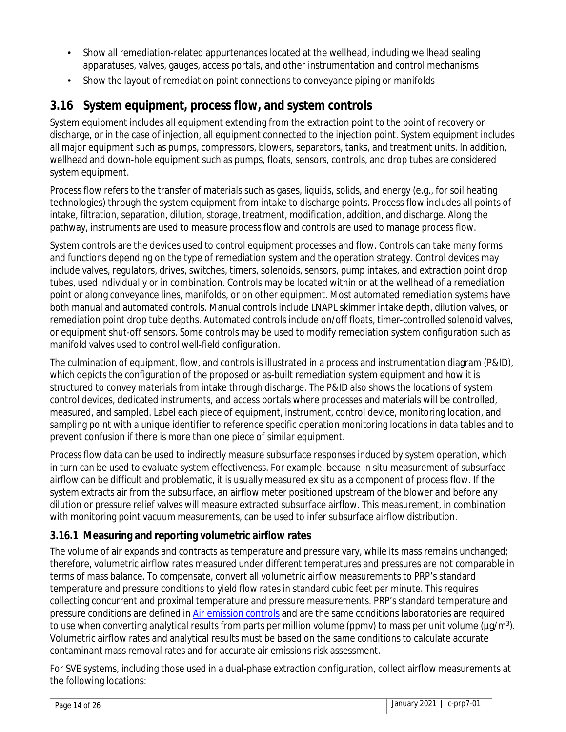- Show all remediation-related appurtenances located at the wellhead, including wellhead sealing apparatuses, valves, gauges, access portals, and other instrumentation and control mechanisms
- Show the layout of remediation point connections to conveyance piping or manifolds

### **3.16 System equipment, process flow, and system controls**

System equipment includes all equipment extending from the extraction point to the point of recovery or discharge, or in the case of injection, all equipment connected to the injection point. System equipment includes all major equipment such as pumps, compressors, blowers, separators, tanks, and treatment units. In addition, wellhead and down-hole equipment such as pumps, floats, sensors, controls, and drop tubes are considered system equipment.

Process flow refers to the transfer of materials such as gases, liquids, solids, and energy (e.g., for soil heating technologies) through the system equipment from intake to discharge points. Process flow includes all points of intake, filtration, separation, dilution, storage, treatment, modification, addition, and discharge. Along the pathway, instruments are used to measure process flow and controls are used to manage process flow.

System controls are the devices used to control equipment processes and flow. Controls can take many forms and functions depending on the type of remediation system and the operation strategy. Control devices may include valves, regulators, drives, switches, timers, solenoids, sensors, pump intakes, and extraction point drop tubes, used individually or in combination. Controls may be located within or at the wellhead of a remediation point or along conveyance lines, manifolds, or on other equipment. Most automated remediation systems have both manual and automated controls. Manual controls include LNAPL skimmer intake depth, dilution valves, or remediation point drop tube depths. Automated controls include on/off floats, timer-controlled solenoid valves, or equipment shut-off sensors. Some controls may be used to modify remediation system configuration such as manifold valves used to control well-field configuration.

The culmination of equipment, flow, and controls is illustrated in a process and instrumentation diagram (P&ID), which depicts the configuration of the proposed or as-built remediation system equipment and how it is structured to convey materials from intake through discharge. The P&ID also shows the locations of system control devices, dedicated instruments, and access portals where processes and materials will be controlled, measured, and sampled. Label each piece of equipment, instrument, control device, monitoring location, and sampling point with a unique identifier to reference specific operation monitoring locations in data tables and to prevent confusion if there is more than one piece of similar equipment.

Process flow data can be used to indirectly measure subsurface responses induced by system operation, which in turn can be used to evaluate system effectiveness. For example, because in situ measurement of subsurface airflow can be difficult and problematic, it is usually measured ex situ as a component of process flow. If the system extracts air from the subsurface, an airflow meter positioned upstream of the blower and before any dilution or pressure relief valves will measure extracted subsurface airflow. This measurement, in combination with monitoring point vacuum measurements, can be used to infer subsurface airflow distribution.

#### **3.16.1 Measuring and reporting volumetric airflow rates**

The volume of air expands and contracts as temperature and pressure vary, while its mass remains unchanged; therefore, volumetric airflow rates measured under different temperatures and pressures are not comparable in terms of mass balance. To compensate, convert all volumetric airflow measurements to PRP's standard temperature and pressure conditions to yield flow rates in standard cubic feet per minute. This requires collecting concurrent and proximal temperature and pressure measurements. PRP's standard temperature and pressure conditions are defined in [Air emission controls](https://www.pca.state.mn.us/sites/default/files/c-prp7-09a.pdf) and are the same conditions laboratories are required to use when converting analytical results from parts per million volume (ppmv) to mass per unit volume (μg/m<sup>3</sup>). Volumetric airflow rates and analytical results must be based on the same conditions to calculate accurate contaminant mass removal rates and for accurate air emissions risk assessment.

For SVE systems, including those used in a dual-phase extraction configuration, collect airflow measurements at the following locations: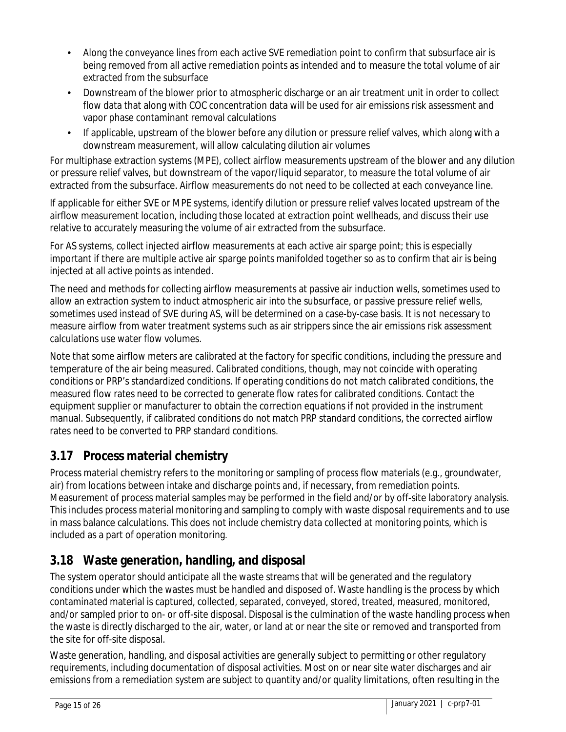- Along the conveyance lines from each active SVE remediation point to confirm that subsurface air is being removed from all active remediation points as intended and to measure the total volume of air extracted from the subsurface
- Downstream of the blower prior to atmospheric discharge or an air treatment unit in order to collect flow data that along with COC concentration data will be used for air emissions risk assessment and vapor phase contaminant removal calculations
- If applicable, upstream of the blower before any dilution or pressure relief valves, which along with a downstream measurement, will allow calculating dilution air volumes

For multiphase extraction systems (MPE), collect airflow measurements upstream of the blower and any dilution or pressure relief valves, but downstream of the vapor/liquid separator, to measure the total volume of air extracted from the subsurface. Airflow measurements do not need to be collected at each conveyance line.

If applicable for either SVE or MPE systems, identify dilution or pressure relief valves located upstream of the airflow measurement location, including those located at extraction point wellheads, and discuss their use relative to accurately measuring the volume of air extracted from the subsurface.

For AS systems, collect injected airflow measurements at each active air sparge point; this is especially important if there are multiple active air sparge points manifolded together so as to confirm that air is being injected at all active points as intended.

The need and methods for collecting airflow measurements at passive air induction wells, sometimes used to allow an extraction system to induct atmospheric air into the subsurface, or passive pressure relief wells, sometimes used instead of SVE during AS, will be determined on a case-by-case basis. It is not necessary to measure airflow from water treatment systems such as air strippers since the air emissions risk assessment calculations use water flow volumes.

Note that some airflow meters are calibrated at the factory for specific conditions, including the pressure and temperature of the air being measured. Calibrated conditions, though, may not coincide with operating conditions or PRP's standardized conditions. If operating conditions do not match calibrated conditions, the measured flow rates need to be corrected to generate flow rates for calibrated conditions. Contact the equipment supplier or manufacturer to obtain the correction equations if not provided in the instrument manual. Subsequently, if calibrated conditions do not match PRP standard conditions, the corrected airflow rates need to be converted to PRP standard conditions.

### **3.17 Process material chemistry**

Process material chemistry refers to the monitoring or sampling of process flow materials (e.g., groundwater, air) from locations between intake and discharge points and, if necessary, from remediation points. Measurement of process material samples may be performed in the field and/or by off-site laboratory analysis. This includes process material monitoring and sampling to comply with waste disposal requirements and to use in mass balance calculations. This does not include chemistry data collected at monitoring points, which is included as a part of operation monitoring.

### **3.18 Waste generation, handling, and disposal**

The system operator should anticipate all the waste streams that will be generated and the regulatory conditions under which the wastes must be handled and disposed of. Waste handling is the process by which contaminated material is captured, collected, separated, conveyed, stored, treated, measured, monitored, and/or sampled prior to on- or off-site disposal. Disposal is the culmination of the waste handling process when the waste is directly discharged to the air, water, or land at or near the site or removed and transported from the site for off-site disposal.

Waste generation, handling, and disposal activities are generally subject to permitting or other regulatory requirements, including documentation of disposal activities. Most on or near site water discharges and air emissions from a remediation system are subject to quantity and/or quality limitations, often resulting in the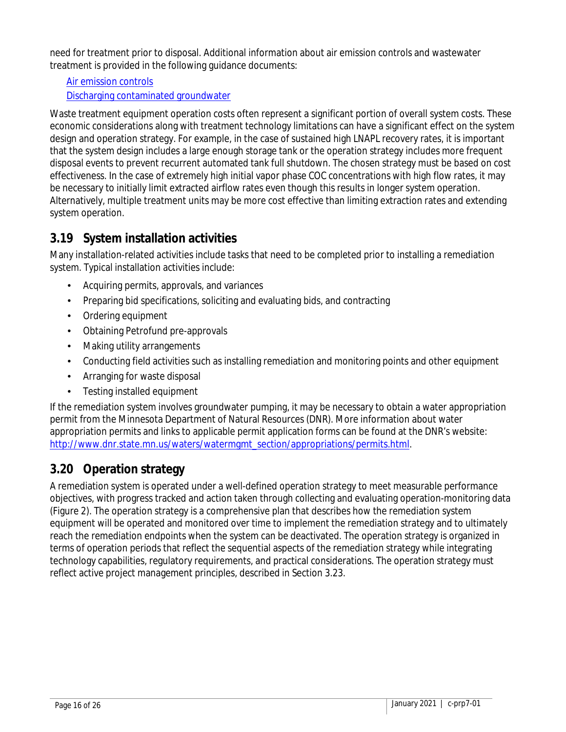need for treatment prior to disposal. Additional information about air emission controls and wastewater treatment is provided in the following guidance documents:

[Air emission controls](https://www.pca.state.mn.us/sites/default/files/c-prp7-09a.pdf)

[Discharging contaminated groundwater](https://www.pca.state.mn.us/sites/default/files/c-prp7-10.pdf)

Waste treatment equipment operation costs often represent a significant portion of overall system costs. These economic considerations along with treatment technology limitations can have a significant effect on the system design and operation strategy. For example, in the case of sustained high LNAPL recovery rates, it is important that the system design includes a large enough storage tank or the operation strategy includes more frequent disposal events to prevent recurrent automated tank full shutdown. The chosen strategy must be based on cost effectiveness. In the case of extremely high initial vapor phase COC concentrations with high flow rates, it may be necessary to initially limit extracted airflow rates even though this results in longer system operation. Alternatively, multiple treatment units may be more cost effective than limiting extraction rates and extending system operation.

### **3.19 System installation activities**

Many installation-related activities include tasks that need to be completed prior to installing a remediation system. Typical installation activities include:

- Acquiring permits, approvals, and variances
- Preparing bid specifications, soliciting and evaluating bids, and contracting
- Ordering equipment
- Obtaining Petrofund pre-approvals
- Making utility arrangements
- Conducting field activities such as installing remediation and monitoring points and other equipment
- Arranging for waste disposal
- Testing installed equipment

If the remediation system involves groundwater pumping, it may be necessary to obtain a water appropriation permit from the Minnesota Department of Natural Resources (DNR). More information about water appropriation permits and links to applicable permit application forms can be found at the DNR's website: [http://www.dnr.state.mn.us/waters/watermgmt\\_section/appropriations/permits.html.](http://www.dnr.state.mn.us/waters/watermgmt_section/appropriations/permits.html)

## **3.20 Operation strategy**

A remediation system is operated under a well-defined operation strategy to meet measurable performance objectives, with progress tracked and action taken through collecting and evaluating operation-monitoring data (Figure 2). The operation strategy is a comprehensive plan that describes how the remediation system equipment will be operated and monitored over time to implement the remediation strategy and to ultimately reach the remediation endpoints when the system can be deactivated. The operation strategy is organized in terms of operation periods that reflect the sequential aspects of the remediation strategy while integrating technology capabilities, regulatory requirements, and practical considerations. The operation strategy must reflect active project management principles, described in Section 3.23.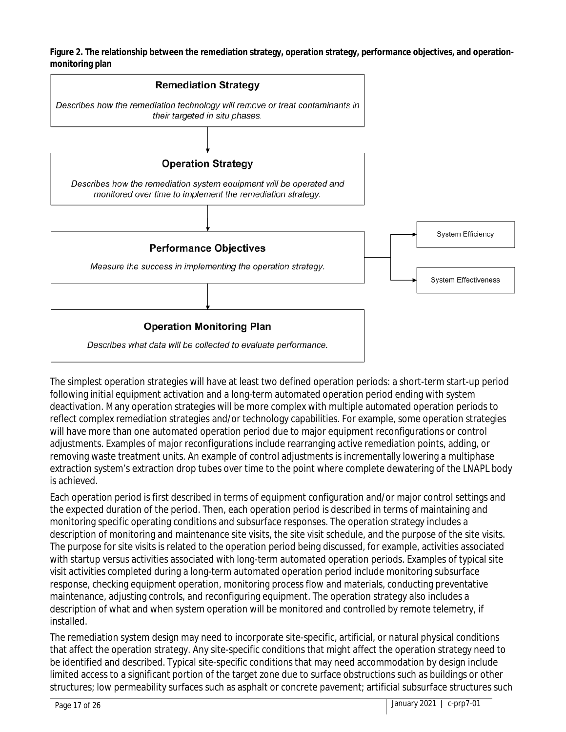**Figure 2. The relationship between the remediation strategy, operation strategy, performance objectives, and operationmonitoring plan**



The simplest operation strategies will have at least two defined operation periods: a short-term start-up period following initial equipment activation and a long-term automated operation period ending with system deactivation. Many operation strategies will be more complex with multiple automated operation periods to reflect complex remediation strategies and/or technology capabilities. For example, some operation strategies will have more than one automated operation period due to major equipment reconfigurations or control adjustments. Examples of major reconfigurations include rearranging active remediation points, adding, or removing waste treatment units. An example of control adjustments is incrementally lowering a multiphase extraction system's extraction drop tubes over time to the point where complete dewatering of the LNAPL body is achieved.

Each operation period is first described in terms of equipment configuration and/or major control settings and the expected duration of the period. Then, each operation period is described in terms of maintaining and monitoring specific operating conditions and subsurface responses. The operation strategy includes a description of monitoring and maintenance site visits, the site visit schedule, and the purpose of the site visits. The purpose for site visits is related to the operation period being discussed, for example, activities associated with startup versus activities associated with long-term automated operation periods. Examples of typical site visit activities completed during a long-term automated operation period include monitoring subsurface response, checking equipment operation, monitoring process flow and materials, conducting preventative maintenance, adjusting controls, and reconfiguring equipment. The operation strategy also includes a description of what and when system operation will be monitored and controlled by remote telemetry, if installed.

The remediation system design may need to incorporate site-specific, artificial, or natural physical conditions that affect the operation strategy. Any site-specific conditions that might affect the operation strategy need to be identified and described. Typical site-specific conditions that may need accommodation by design include limited access to a significant portion of the target zone due to surface obstructions such as buildings or other structures; low permeability surfaces such as asphalt or concrete pavement; artificial subsurface structures such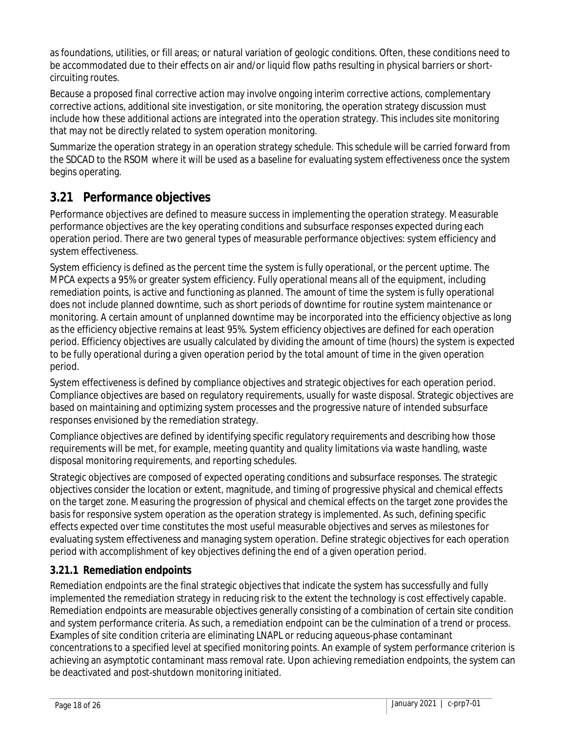as foundations, utilities, or fill areas; or natural variation of geologic conditions. Often, these conditions need to be accommodated due to their effects on air and/or liquid flow paths resulting in physical barriers or shortcircuiting routes.

Because a proposed final corrective action may involve ongoing interim corrective actions, complementary corrective actions, additional site investigation, or site monitoring, the operation strategy discussion must include how these additional actions are integrated into the operation strategy. This includes site monitoring that may not be directly related to system operation monitoring.

Summarize the operation strategy in an operation strategy schedule. This schedule will be carried forward from the SDCAD to the RSOM where it will be used as a baseline for evaluating system effectiveness once the system begins operating.

### **3.21 Performance objectives**

Performance objectives are defined to measure success in implementing the operation strategy. Measurable performance objectives are the key operating conditions and subsurface responses expected during each operation period. There are two general types of measurable performance objectives: system efficiency and system effectiveness.

System efficiency is defined as the percent time the system is fully operational, or the percent uptime. The MPCA expects a 95% or greater system efficiency. Fully operational means all of the equipment, including remediation points, is active and functioning as planned. The amount of time the system is fully operational does not include planned downtime, such as short periods of downtime for routine system maintenance or monitoring. A certain amount of unplanned downtime may be incorporated into the efficiency objective as long as the efficiency objective remains at least 95%. System efficiency objectives are defined for each operation period. Efficiency objectives are usually calculated by dividing the amount of time (hours) the system is expected to be fully operational during a given operation period by the total amount of time in the given operation period.

System effectiveness is defined by compliance objectives and strategic objectives for each operation period. Compliance objectives are based on regulatory requirements, usually for waste disposal. Strategic objectives are based on maintaining and optimizing system processes and the progressive nature of intended subsurface responses envisioned by the remediation strategy.

Compliance objectives are defined by identifying specific regulatory requirements and describing how those requirements will be met, for example, meeting quantity and quality limitations via waste handling, waste disposal monitoring requirements, and reporting schedules.

Strategic objectives are composed of expected operating conditions and subsurface responses. The strategic objectives consider the location or extent, magnitude, and timing of progressive physical and chemical effects on the target zone. Measuring the progression of physical and chemical effects on the target zone provides the basis for responsive system operation as the operation strategy is implemented. As such, defining specific effects expected over time constitutes the most useful measurable objectives and serves as milestones for evaluating system effectiveness and managing system operation. Define strategic objectives for each operation period with accomplishment of key objectives defining the end of a given operation period.

#### **3.21.1 Remediation endpoints**

Remediation endpoints are the final strategic objectives that indicate the system has successfully and fully implemented the remediation strategy in reducing risk to the extent the technology is cost effectively capable. Remediation endpoints are measurable objectives generally consisting of a combination of certain site condition and system performance criteria. As such, a remediation endpoint can be the culmination of a trend or process. Examples of site condition criteria are eliminating LNAPL or reducing aqueous-phase contaminant concentrations to a specified level at specified monitoring points. An example of system performance criterion is achieving an asymptotic contaminant mass removal rate. Upon achieving remediation endpoints, the system can be deactivated and post-shutdown monitoring initiated.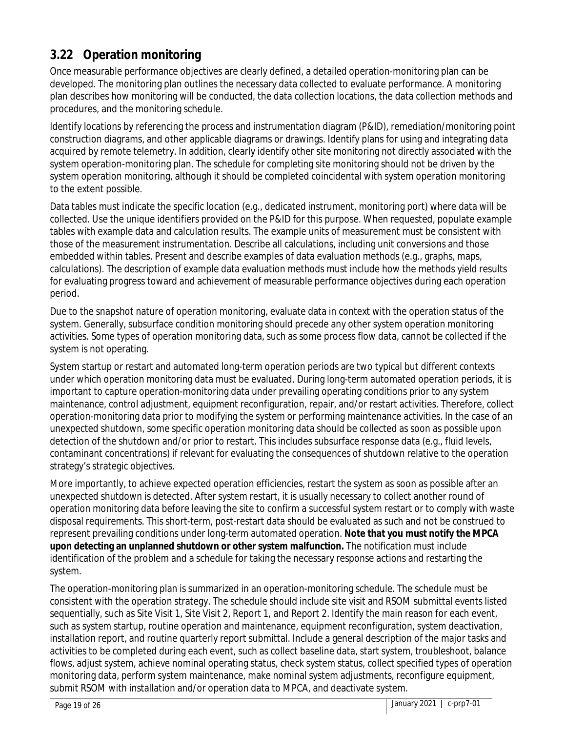### **3.22 Operation monitoring**

Once measurable performance objectives are clearly defined, a detailed operation-monitoring plan can be developed. The monitoring plan outlines the necessary data collected to evaluate performance. A monitoring plan describes how monitoring will be conducted, the data collection locations, the data collection methods and procedures, and the monitoring schedule.

Identify locations by referencing the process and instrumentation diagram (P&ID), remediation/monitoring point construction diagrams, and other applicable diagrams or drawings. Identify plans for using and integrating data acquired by remote telemetry. In addition, clearly identify other site monitoring not directly associated with the system operation-monitoring plan. The schedule for completing site monitoring should not be driven by the system operation monitoring, although it should be completed coincidental with system operation monitoring to the extent possible.

Data tables must indicate the specific location (e.g., dedicated instrument, monitoring port) where data will be collected. Use the unique identifiers provided on the P&ID for this purpose. When requested, populate example tables with example data and calculation results. The example units of measurement must be consistent with those of the measurement instrumentation. Describe all calculations, including unit conversions and those embedded within tables. Present and describe examples of data evaluation methods (e.g., graphs, maps, calculations). The description of example data evaluation methods must include how the methods yield results for evaluating progress toward and achievement of measurable performance objectives during each operation period.

Due to the snapshot nature of operation monitoring, evaluate data in context with the operation status of the system. Generally, subsurface condition monitoring should precede any other system operation monitoring activities. Some types of operation monitoring data, such as some process flow data, cannot be collected if the system is not operating.

System startup or restart and automated long-term operation periods are two typical but different contexts under which operation monitoring data must be evaluated. During long-term automated operation periods, it is important to capture operation-monitoring data under prevailing operating conditions prior to any system maintenance, control adjustment, equipment reconfiguration, repair, and/or restart activities. Therefore, collect operation-monitoring data prior to modifying the system or performing maintenance activities. In the case of an unexpected shutdown, some specific operation monitoring data should be collected as soon as possible upon detection of the shutdown and/or prior to restart. This includes subsurface response data (e.g., fluid levels, contaminant concentrations) if relevant for evaluating the consequences of shutdown relative to the operation strategy's strategic objectives.

More importantly, to achieve expected operation efficiencies, restart the system as soon as possible after an unexpected shutdown is detected. After system restart, it is usually necessary to collect another round of operation monitoring data before leaving the site to confirm a successful system restart or to comply with waste disposal requirements. This short-term, post-restart data should be evaluated as such and not be construed to represent prevailing conditions under long-term automated operation. **Note that you must notify the MPCA upon detecting an unplanned shutdown or other system malfunction.** The notification must include identification of the problem and a schedule for taking the necessary response actions and restarting the system.

The operation-monitoring plan is summarized in an operation-monitoring schedule. The schedule must be consistent with the operation strategy. The schedule should include site visit and RSOM submittal events listed sequentially, such as Site Visit 1, Site Visit 2, Report 1, and Report 2. Identify the main reason for each event, such as system startup, routine operation and maintenance, equipment reconfiguration, system deactivation, installation report, and routine quarterly report submittal. Include a general description of the major tasks and activities to be completed during each event, such as collect baseline data, start system, troubleshoot, balance flows, adjust system, achieve nominal operating status, check system status, collect specified types of operation monitoring data, perform system maintenance, make nominal system adjustments, reconfigure equipment, submit RSOM with installation and/or operation data to MPCA, and deactivate system.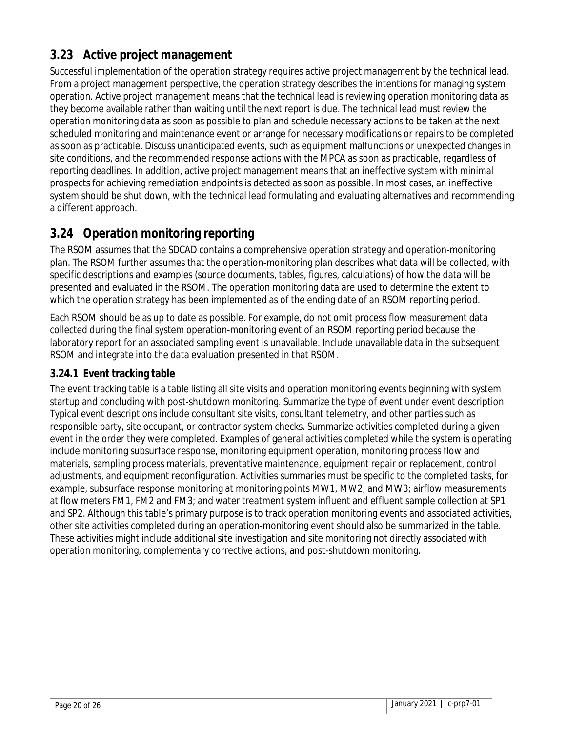### **3.23 Active project management**

Successful implementation of the operation strategy requires active project management by the technical lead. From a project management perspective, the operation strategy describes the intentions for managing system operation. Active project management means that the technical lead is reviewing operation monitoring data as they become available rather than waiting until the next report is due. The technical lead must review the operation monitoring data as soon as possible to plan and schedule necessary actions to be taken at the next scheduled monitoring and maintenance event or arrange for necessary modifications or repairs to be completed as soon as practicable. Discuss unanticipated events, such as equipment malfunctions or unexpected changes in site conditions, and the recommended response actions with the MPCA as soon as practicable, regardless of reporting deadlines. In addition, active project management means that an ineffective system with minimal prospects for achieving remediation endpoints is detected as soon as possible. In most cases, an ineffective system should be shut down, with the technical lead formulating and evaluating alternatives and recommending a different approach.

### **3.24 Operation monitoring reporting**

The RSOM assumes that the SDCAD contains a comprehensive operation strategy and operation-monitoring plan. The RSOM further assumes that the operation-monitoring plan describes what data will be collected, with specific descriptions and examples (source documents, tables, figures, calculations) of how the data will be presented and evaluated in the RSOM. The operation monitoring data are used to determine the extent to which the operation strategy has been implemented as of the ending date of an RSOM reporting period.

Each RSOM should be as up to date as possible. For example, do not omit process flow measurement data collected during the final system operation-monitoring event of an RSOM reporting period because the laboratory report for an associated sampling event is unavailable. Include unavailable data in the subsequent RSOM and integrate into the data evaluation presented in that RSOM.

#### **3.24.1 Event tracking table**

The event tracking table is a table listing all site visits and operation monitoring events beginning with system startup and concluding with post-shutdown monitoring. Summarize the type of event under event description. Typical event descriptions include consultant site visits, consultant telemetry, and other parties such as responsible party, site occupant, or contractor system checks. Summarize activities completed during a given event in the order they were completed. Examples of general activities completed while the system is operating include monitoring subsurface response, monitoring equipment operation, monitoring process flow and materials, sampling process materials, preventative maintenance, equipment repair or replacement, control adjustments, and equipment reconfiguration. Activities summaries must be specific to the completed tasks, for example, subsurface response monitoring at monitoring points MW1, MW2, and MW3; airflow measurements at flow meters FM1, FM2 and FM3; and water treatment system influent and effluent sample collection at SP1 and SP2. Although this table's primary purpose is to track operation monitoring events and associated activities, other site activities completed during an operation-monitoring event should also be summarized in the table. These activities might include additional site investigation and site monitoring not directly associated with operation monitoring, complementary corrective actions, and post-shutdown monitoring.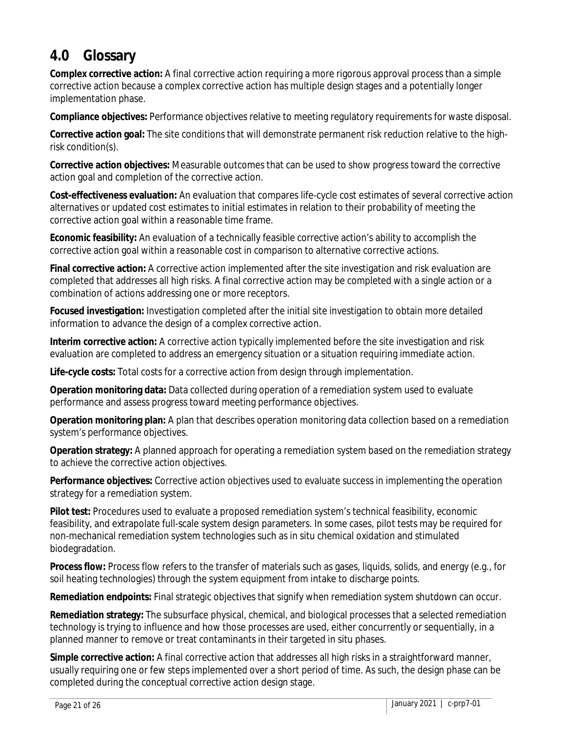## **4.0 Glossary**

**Complex corrective action:** A final corrective action requiring a more rigorous approval process than a simple corrective action because a complex corrective action has multiple design stages and a potentially longer implementation phase.

**Compliance objectives:** Performance objectives relative to meeting regulatory requirements for waste disposal.

**Corrective action goal:** The site conditions that will demonstrate permanent risk reduction relative to the highrisk condition(s).

**Corrective action objectives:** Measurable outcomes that can be used to show progress toward the corrective action goal and completion of the corrective action.

**Cost-effectiveness evaluation:** An evaluation that compares life-cycle cost estimates of several corrective action alternatives or updated cost estimates to initial estimates in relation to their probability of meeting the corrective action goal within a reasonable time frame.

**Economic feasibility:** An evaluation of a technically feasible corrective action's ability to accomplish the corrective action goal within a reasonable cost in comparison to alternative corrective actions.

**Final corrective action:** A corrective action implemented after the site investigation and risk evaluation are completed that addresses all high risks. A final corrective action may be completed with a single action or a combination of actions addressing one or more receptors.

**Focused investigation:** Investigation completed after the initial site investigation to obtain more detailed information to advance the design of a complex corrective action.

**Interim corrective action:** A corrective action typically implemented before the site investigation and risk evaluation are completed to address an emergency situation or a situation requiring immediate action.

**Life-cycle costs:** Total costs for a corrective action from design through implementation.

**Operation monitoring data:** Data collected during operation of a remediation system used to evaluate performance and assess progress toward meeting performance objectives.

**Operation monitoring plan:** A plan that describes operation monitoring data collection based on a remediation system's performance objectives.

**Operation strategy:** A planned approach for operating a remediation system based on the remediation strategy to achieve the corrective action objectives.

**Performance objectives:** Corrective action objectives used to evaluate success in implementing the operation strategy for a remediation system.

**Pilot test:** Procedures used to evaluate a proposed remediation system's technical feasibility, economic feasibility, and extrapolate full-scale system design parameters. In some cases, pilot tests may be required for non-mechanical remediation system technologies such as in situ chemical oxidation and stimulated biodegradation.

**Process flow:** Process flow refers to the transfer of materials such as gases, liquids, solids, and energy (e.g., for soil heating technologies) through the system equipment from intake to discharge points.

**Remediation endpoints:** Final strategic objectives that signify when remediation system shutdown can occur.

**Remediation strategy:** The subsurface physical, chemical, and biological processes that a selected remediation technology is trying to influence and how those processes are used, either concurrently or sequentially, in a planned manner to remove or treat contaminants in their targeted in situ phases.

**Simple corrective action:** A final corrective action that addresses all high risks in a straightforward manner, usually requiring one or few steps implemented over a short period of time. As such, the design phase can be completed during the conceptual corrective action design stage.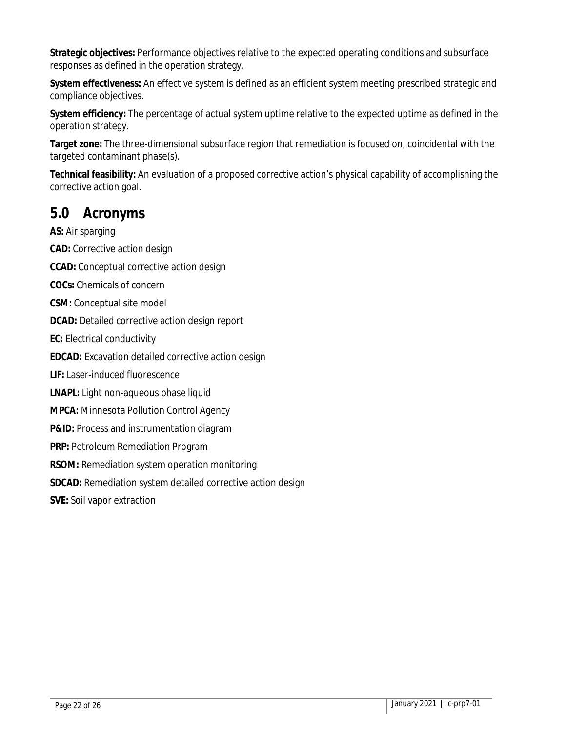**Strategic objectives:** Performance objectives relative to the expected operating conditions and subsurface responses as defined in the operation strategy.

**System effectiveness:** An effective system is defined as an efficient system meeting prescribed strategic and compliance objectives.

**System efficiency:** The percentage of actual system uptime relative to the expected uptime as defined in the operation strategy.

**Target zone:** The three-dimensional subsurface region that remediation is focused on, coincidental with the targeted contaminant phase(s).

**Technical feasibility:** An evaluation of a proposed corrective action's physical capability of accomplishing the corrective action goal.

### **5.0 Acronyms**

**AS:** Air sparging **CAD:** Corrective action design **CCAD:** Conceptual corrective action design **COCs:** Chemicals of concern **CSM:** Conceptual site model **DCAD:** Detailed corrective action design report **EC:** Electrical conductivity **EDCAD:** Excavation detailed corrective action design **LIF:** Laser-induced fluorescence **LNAPL:** Light non-aqueous phase liquid **MPCA:** Minnesota Pollution Control Agency **P&ID:** Process and instrumentation diagram **PRP:** Petroleum Remediation Program **RSOM:** Remediation system operation monitoring **SDCAD:** Remediation system detailed corrective action design **SVE:** Soil vapor extraction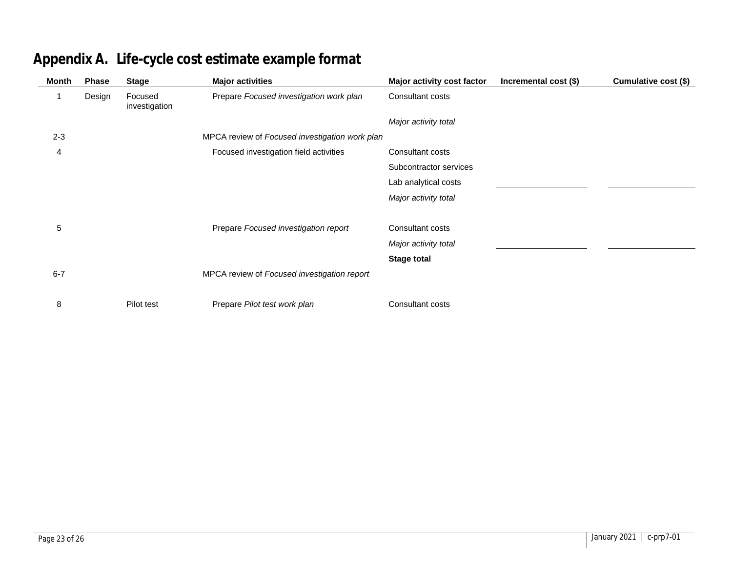| <b>Month</b> | <b>Phase</b> | <b>Stage</b>             | <b>Major activities</b>                        | Major activity cost factor | Incremental cost (\$) | Cumulative cost (\$) |
|--------------|--------------|--------------------------|------------------------------------------------|----------------------------|-----------------------|----------------------|
|              | Design       | Focused<br>investigation | Prepare Focused investigation work plan        | Consultant costs           |                       |                      |
|              |              |                          |                                                | Major activity total       |                       |                      |
| $2 - 3$      |              |                          | MPCA review of Focused investigation work plan |                            |                       |                      |
| 4            |              |                          | Focused investigation field activities         | Consultant costs           |                       |                      |
|              |              |                          |                                                | Subcontractor services     |                       |                      |
|              |              |                          |                                                | Lab analytical costs       |                       |                      |
|              |              |                          |                                                | Major activity total       |                       |                      |
|              |              |                          |                                                |                            |                       |                      |
| 5            |              |                          | Prepare Focused investigation report           | Consultant costs           |                       |                      |
|              |              |                          |                                                | Major activity total       |                       |                      |
|              |              |                          |                                                | <b>Stage total</b>         |                       |                      |
| $6 - 7$      |              |                          | MPCA review of Focused investigation report    |                            |                       |                      |
|              |              |                          |                                                |                            |                       |                      |
| 8            |              | Pilot test               | Prepare Pilot test work plan                   | Consultant costs           |                       |                      |

## **Appendix A. Life-cycle cost estimate example format**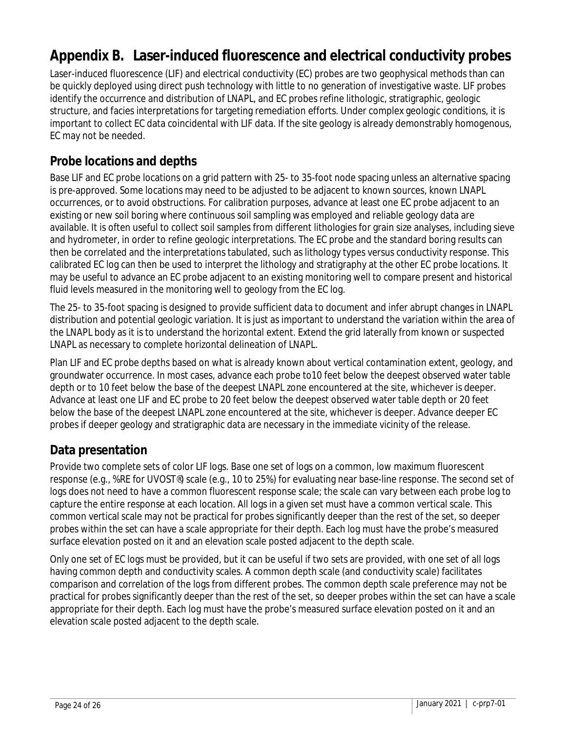## **Appendix B. Laser-induced fluorescence and electrical conductivity probes**

Laser-induced fluorescence (LIF) and electrical conductivity (EC) probes are two geophysical methods than can be quickly deployed using direct push technology with little to no generation of investigative waste. LIF probes identify the occurrence and distribution of LNAPL, and EC probes refine lithologic, stratigraphic, geologic structure, and facies interpretations for targeting remediation efforts. Under complex geologic conditions, it is important to collect EC data coincidental with LIF data. If the site geology is already demonstrably homogenous, EC may not be needed.

### **Probe locations and depths**

Base LIF and EC probe locations on a grid pattern with 25- to 35-foot node spacing unless an alternative spacing is pre-approved. Some locations may need to be adjusted to be adjacent to known sources, known LNAPL occurrences, or to avoid obstructions. For calibration purposes, advance at least one EC probe adjacent to an existing or new soil boring where continuous soil sampling was employed and reliable geology data are available. It is often useful to collect soil samples from different lithologies for grain size analyses, including sieve and hydrometer, in order to refine geologic interpretations. The EC probe and the standard boring results can then be correlated and the interpretations tabulated, such as lithology types versus conductivity response. This calibrated EC log can then be used to interpret the lithology and stratigraphy at the other EC probe locations. It may be useful to advance an EC probe adjacent to an existing monitoring well to compare present and historical fluid levels measured in the monitoring well to geology from the EC log.

The 25- to 35-foot spacing is designed to provide sufficient data to document and infer abrupt changes in LNAPL distribution and potential geologic variation. It is just as important to understand the variation within the area of the LNAPL body as it is to understand the horizontal extent. Extend the grid laterally from known or suspected LNAPL as necessary to complete horizontal delineation of LNAPL.

Plan LIF and EC probe depths based on what is already known about vertical contamination extent, geology, and groundwater occurrence. In most cases, advance each probe to10 feet below the deepest observed water table depth or to 10 feet below the base of the deepest LNAPL zone encountered at the site, whichever is deeper. Advance at least one LIF and EC probe to 20 feet below the deepest observed water table depth or 20 feet below the base of the deepest LNAPL zone encountered at the site, whichever is deeper. Advance deeper EC probes if deeper geology and stratigraphic data are necessary in the immediate vicinity of the release.

### **Data presentation**

Provide two complete sets of color LIF logs. Base one set of logs on a common, low maximum fluorescent response (e.g., %RE for UVOST®) scale (e.g., 10 to 25%) for evaluating near base-line response. The second set of logs does not need to have a common fluorescent response scale; the scale can vary between each probe log to capture the entire response at each location. All logs in a given set must have a common vertical scale. This common vertical scale may not be practical for probes significantly deeper than the rest of the set, so deeper probes within the set can have a scale appropriate for their depth. Each log must have the probe's measured surface elevation posted on it and an elevation scale posted adjacent to the depth scale.

Only one set of EC logs must be provided, but it can be useful if two sets are provided, with one set of all logs having common depth and conductivity scales. A common depth scale (and conductivity scale) facilitates comparison and correlation of the logs from different probes. The common depth scale preference may not be practical for probes significantly deeper than the rest of the set, so deeper probes within the set can have a scale appropriate for their depth. Each log must have the probe's measured surface elevation posted on it and an elevation scale posted adjacent to the depth scale.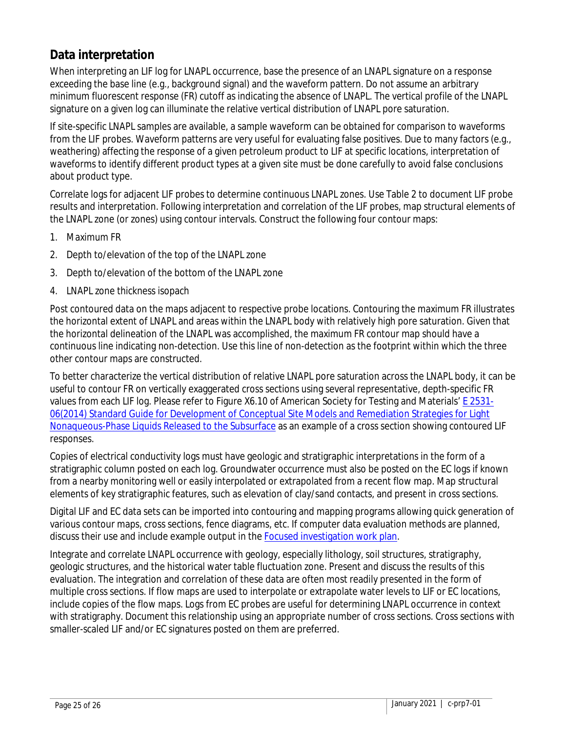### **Data interpretation**

When interpreting an LIF log for LNAPL occurrence, base the presence of an LNAPL signature on a response exceeding the base line (e.g., background signal) and the waveform pattern. Do not assume an arbitrary minimum fluorescent response (FR) cutoff as indicating the absence of LNAPL. The vertical profile of the LNAPL signature on a given log can illuminate the relative vertical distribution of LNAPL pore saturation.

If site-specific LNAPL samples are available, a sample waveform can be obtained for comparison to waveforms from the LIF probes. Waveform patterns are very useful for evaluating false positives. Due to many factors (e.g., weathering) affecting the response of a given petroleum product to LIF at specific locations, interpretation of waveforms to identify different product types at a given site must be done carefully to avoid false conclusions about product type.

Correlate logs for adjacent LIF probes to determine continuous LNAPL zones. Use Table 2 to document LIF probe results and interpretation. Following interpretation and correlation of the LIF probes, map structural elements of the LNAPL zone (or zones) using contour intervals. Construct the following four contour maps:

- 1. Maximum FR
- 2. Depth to/elevation of the top of the LNAPL zone
- 3. Depth to/elevation of the bottom of the LNAPL zone
- 4. LNAPL zone thickness isopach

Post contoured data on the maps adjacent to respective probe locations. Contouring the maximum FR illustrates the horizontal extent of LNAPL and areas within the LNAPL body with relatively high pore saturation. Given that the horizontal delineation of the LNAPL was accomplished, the maximum FR contour map should have a continuous line indicating non-detection. Use this line of non-detection as the footprint within which the three other contour maps are constructed.

To better characterize the vertical distribution of relative LNAPL pore saturation across the LNAPL body, it can be useful to contour FR on vertically exaggerated cross sections using several representative, depth-specific FR values from each LIF log. Please refer to Figure X6.10 of American Society for Testing and Materials' **E** 2531-[06\(2014\) Standard Guide for Development of Conceptual Site Models and Remediation Strategies for Light](https://www.astm.org/Standards/E2531.htm)  [Nonaqueous-Phase Liquids Released to the Subsurface](https://www.astm.org/Standards/E2531.htm) as an example of a cross section showing contoured LIF responses.

Copies of electrical conductivity logs must have geologic and stratigraphic interpretations in the form of a stratigraphic column posted on each log. Groundwater occurrence must also be posted on the EC logs if known from a nearby monitoring well or easily interpolated or extrapolated from a recent flow map. Map structural elements of key stratigraphic features, such as elevation of clay/sand contacts, and present in cross sections.

Digital LIF and EC data sets can be imported into contouring and mapping programs allowing quick generation of various contour maps, cross sections, fence diagrams, etc. If computer data evaluation methods are planned, discuss their use and include example output in the [Focused investigation work plan.](https://www.pca.state.mn.us/sites/default/files/c-prp7-03.dot)

Integrate and correlate LNAPL occurrence with geology, especially lithology, soil structures, stratigraphy, geologic structures, and the historical water table fluctuation zone. Present and discuss the results of this evaluation. The integration and correlation of these data are often most readily presented in the form of multiple cross sections. If flow maps are used to interpolate or extrapolate water levels to LIF or EC locations, include copies of the flow maps. Logs from EC probes are useful for determining LNAPL occurrence in context with stratigraphy. Document this relationship using an appropriate number of cross sections. Cross sections with smaller-scaled LIF and/or EC signatures posted on them are preferred.